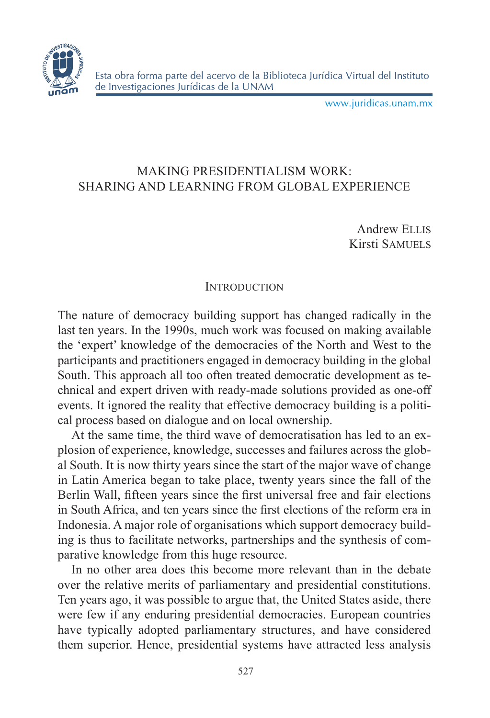

www.juridicas.unam.mx

# MAKING PRESIDENTIALISM WORK: SHARING AND LEARNING FROM GLOBAL EXPERIENCE

Andrew Ellis Kirsti Samuels

### **INTRODUCTION**

The nature of democracy building support has changed radically in the last ten years. In the 1990s, much work was focused on making available the 'expert' knowledge of the democracies of the North and West to the participants and practitioners engaged in democracy building in the global South. This approach all too often treated democratic development as technical and expert driven with ready-made solutions provided as one-off events. It ignored the reality that effective democracy building is a political process based on dialogue and on local ownership.

At the same time, the third wave of democratisation has led to an explosion of experience, knowledge, successes and failures across the global South. It is now thirty years since the start of the major wave of change in Latin America began to take place, twenty years since the fall of the Berlin Wall, fifteen years since the first universal free and fair elections in South Africa, and ten years since the first elections of the reform era in Indonesia. A major role of organisations which support democracy building is thus to facilitate networks, partnerships and the synthesis of comparative knowledge from this huge resource.

In no other area does this become more relevant than in the debate over the relative merits of parliamentary and presidential constitutions. Ten years ago, it was possible to argue that, the United States aside, there were few if any enduring presidential democracies. European countries have typically adopted parliamentary structures, and have considered them superior. Hence, presidential systems have attracted less analysis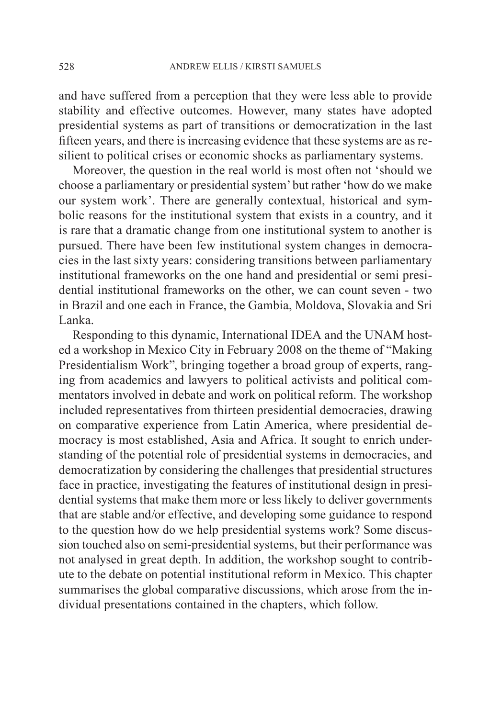and have suffered from a perception that they were less able to provide stability and effective outcomes. However, many states have adopted presidential systems as part of transitions or democratization in the last fifteen years, and there is increasing evidence that these systems are as resilient to political crises or economic shocks as parliamentary systems.

Moreover, the question in the real world is most often not 'should we choose a parliamentary or presidential system' but rather 'how do we make our system work'. There are generally contextual, historical and symbolic reasons for the institutional system that exists in a country, and it is rare that a dramatic change from one institutional system to another is pursued. There have been few institutional system changes in democracies in the last sixty years: considering transitions between parliamentary institutional frameworks on the one hand and presidential or semi presidential institutional frameworks on the other, we can count seven - two in Brazil and one each in France, the Gambia, Moldova, Slovakia and Sri Lanka.

Responding to this dynamic, International IDEA and the UNAM hosted a workshop in Mexico City in February 2008 on the theme of "Making Presidentialism Work", bringing together a broad group of experts, ranging from academics and lawyers to political activists and political commentators involved in debate and work on political reform. The workshop included representatives from thirteen presidential democracies, drawing on comparative experience from Latin America, where presidential democracy is most established, Asia and Africa. It sought to enrich understanding of the potential role of presidential systems in democracies, and democratization by considering the challenges that presidential structures face in practice, investigating the features of institutional design in presidential systems that make them more or less likely to deliver governments that are stable and/or effective, and developing some guidance to respond to the question how do we help presidential systems work? Some discussion touched also on semi-presidential systems, but their performance was not analysed in great depth. In addition, the workshop sought to contribute to the debate on potential institutional reform in Mexico. This chapter summarises the global comparative discussions, which arose from the individual presentations contained in the chapters, which follow.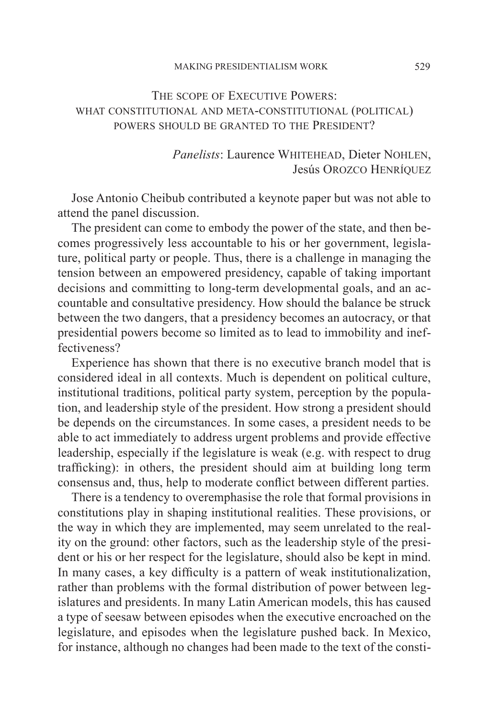## THE SCOPE OF EXECUTIVE POWERS: WHAT CONSTITUTIONAL AND META-CONSTITUTIONAL (POLITICAL) POWERS SHOULD BE GRANTED TO THE PRESIDENT?

# Panelists: Laurence WHITEHEAD, Dieter NOHLEN, Jesús Orozco Henríquez

Jose Antonio Cheibub contributed a keynote paper but was not able to attend the panel discussion.

The president can come to embody the power of the state, and then becomes progressively less accountable to his or her government, legislature, political party or people. Thus, there is a challenge in managing the tension between an empowered presidency, capable of taking important decisions and committing to long-term developmental goals, and an accountable and consultative presidency. How should the balance be struck between the two dangers, that a presidency becomes an autocracy, or that presidential powers become so limited as to lead to immobility and ineffectiveness?

Experience has shown that there is no executive branch model that is considered ideal in all contexts. Much is dependent on political culture, institutional traditions, political party system, perception by the population, and leadership style of the president. How strong a president should be depends on the circumstances. In some cases, a president needs to be able to act immediately to address urgent problems and provide effective leadership, especially if the legislature is weak (e.g. with respect to drug trafficking): in others, the president should aim at building long term consensus and, thus, help to moderate conflict between different parties.

There is a tendency to overemphasise the role that formal provisions in constitutions play in shaping institutional realities. These provisions, or the way in which they are implemented, may seem unrelated to the reality on the ground: other factors, such as the leadership style of the president or his or her respect for the legislature, should also be kept in mind. In many cases, a key difficulty is a pattern of weak institutionalization, rather than problems with the formal distribution of power between legislatures and presidents. In many Latin American models, this has caused a type of seesaw between episodes when the executive encroached on the legislature, and episodes when the legislature pushed back. In Mexico, for instance, although no changes had been made to the text of the consti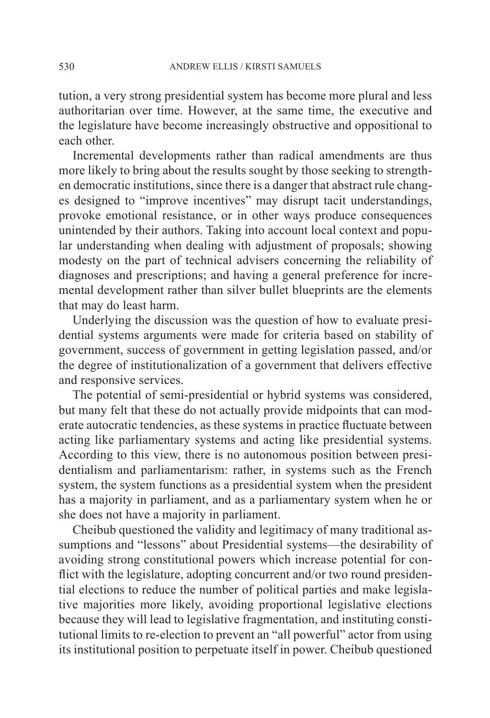tution, a very strong presidential system has become more plural and less authoritarian over time. However, at the same time, the executive and the legislature have become increasingly obstructive and oppositional to each other.

Incremental developments rather than radical amendments are thus more likely to bring about the results sought by those seeking to strengthen democratic institutions, since there is a danger that abstract rule changes designed to "improve incentives" may disrupt tacit understandings, provoke emotional resistance, or in other ways produce consequences unintended by their authors. Taking into account local context and popular understanding when dealing with adjustment of proposals; showing modesty on the part of technical advisers concerning the reliability of diagnoses and prescriptions; and having a general preference for incremental development rather than silver bullet blueprints are the elements that may do least harm.

Underlying the discussion was the question of how to evaluate presidential systems arguments were made for criteria based on stability of government, success of government in getting legislation passed, and/or the degree of institutionalization of a government that delivers effective and responsive services.

The potential of semi-presidential or hybrid systems was considered, but many felt that these do not actually provide midpoints that can moderate autocratic tendencies, as these systems in practice fluctuate between acting like parliamentary systems and acting like presidential systems. According to this view, there is no autonomous position between presidentialism and parliamentarism: rather, in systems such as the French system, the system functions as a presidential system when the president has a majority in parliament, and as a parliamentary system when he or she does not have a majority in parliament.

Cheibub questioned the validity and legitimacy of many traditional assumptions and "lessons" about Presidential systems—the desirability of avoiding strong constitutional powers which increase potential for conflict with the legislature, adopting concurrent and/or two round presidential elections to reduce the number of political parties and make legislative majorities more likely, avoiding proportional legislative elections because they will lead to legislative fragmentation, and instituting constitutional limits to re-election to prevent an "all powerful" actor from using its institutional position to perpetuate itself in power. Cheibub questioned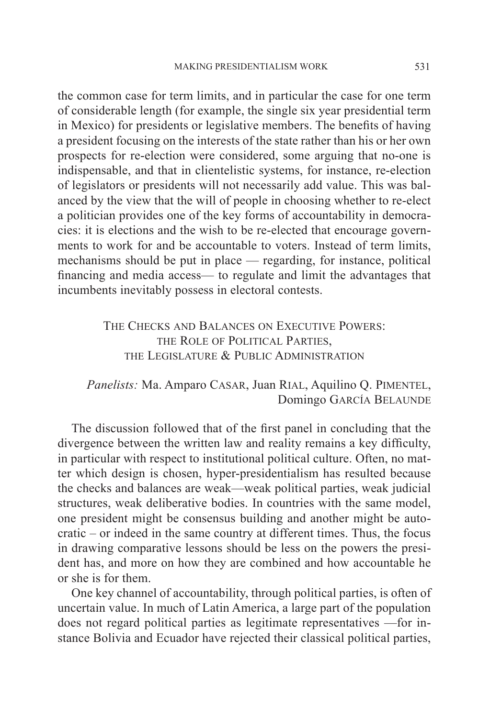the common case for term limits, and in particular the case for one term of considerable length (for example, the single six year presidential term in Mexico) for presidents or legislative members. The benefits of having a president focusing on the interests of the state rather than his or her own prospects for re-election were considered, some arguing that no-one is indispensable, and that in clientelistic systems, for instance, re-election of legislators or presidents will not necessarily add value. This was balanced by the view that the will of people in choosing whether to re-elect a politician provides one of the key forms of accountability in democracies: it is elections and the wish to be re-elected that encourage governments to work for and be accountable to voters. Instead of term limits, mechanisms should be put in place — regarding, for instance, political financing and media access— to regulate and limit the advantages that incumbents inevitably possess in electoral contests.

> THE CHECKS AND BALANCES ON EXECUTIVE POWERS: the Role of Political Parties, THE LEGISLATURE  $\&$  PUBLIC ADMINISTRATION

# *Panelists: Ma. Amparo CASAR, Juan RIAL, Aquilino Q. PIMENTEL,* Domingo García Belaunde

The discussion followed that of the first panel in concluding that the divergence between the written law and reality remains a key difficulty, in particular with respect to institutional political culture. Often, no matter which design is chosen, hyper-presidentialism has resulted because the checks and balances are weak—weak political parties, weak judicial structures, weak deliberative bodies. In countries with the same model, one president might be consensus building and another might be autocratic – or indeed in the same country at different times. Thus, the focus in drawing comparative lessons should be less on the powers the president has, and more on how they are combined and how accountable he or she is for them.

One key channel of accountability, through political parties, is often of uncertain value. In much of Latin America, a large part of the population does not regard political parties as legitimate representatives —for instance Bolivia and Ecuador have rejected their classical political parties,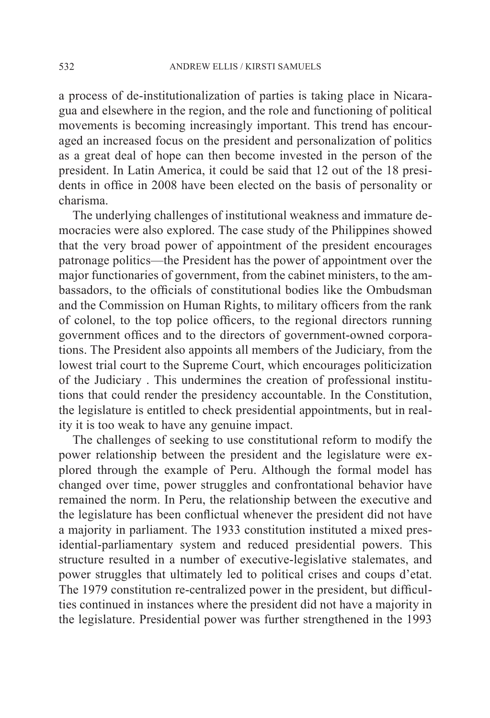a process of de-institutionalization of parties is taking place in Nicaragua and elsewhere in the region, and the role and functioning of political movements is becoming increasingly important. This trend has encouraged an increased focus on the president and personalization of politics as a great deal of hope can then become invested in the person of the president. In Latin America, it could be said that 12 out of the 18 presidents in office in 2008 have been elected on the basis of personality or charisma.

The underlying challenges of institutional weakness and immature democracies were also explored. The case study of the Philippines showed that the very broad power of appointment of the president encourages patronage politics—the President has the power of appointment over the major functionaries of government, from the cabinet ministers, to the ambassadors, to the officials of constitutional bodies like the Ombudsman and the Commission on Human Rights, to military officers from the rank of colonel, to the top police officers, to the regional directors running government offices and to the directors of government-owned corporations. The President also appoints all members of the Judiciary, from the lowest trial court to the Supreme Court, which encourages politicization of the Judiciary . This undermines the creation of professional institutions that could render the presidency accountable. In the Constitution, the legislature is entitled to check presidential appointments, but in reality it is too weak to have any genuine impact.

The challenges of seeking to use constitutional reform to modify the power relationship between the president and the legislature were explored through the example of Peru. Although the formal model has changed over time, power struggles and confrontational behavior have remained the norm. In Peru, the relationship between the executive and the legislature has been conflictual whenever the president did not have a majority in parliament. The 1933 constitution instituted a mixed presidential-parliamentary system and reduced presidential powers. This structure resulted in a number of executive-legislative stalemates, and power struggles that ultimately led to political crises and coups d'etat. The 1979 constitution re-centralized power in the president, but difficulties continued in instances where the president did not have a majority in the legislature. Presidential power was further strengthened in the 1993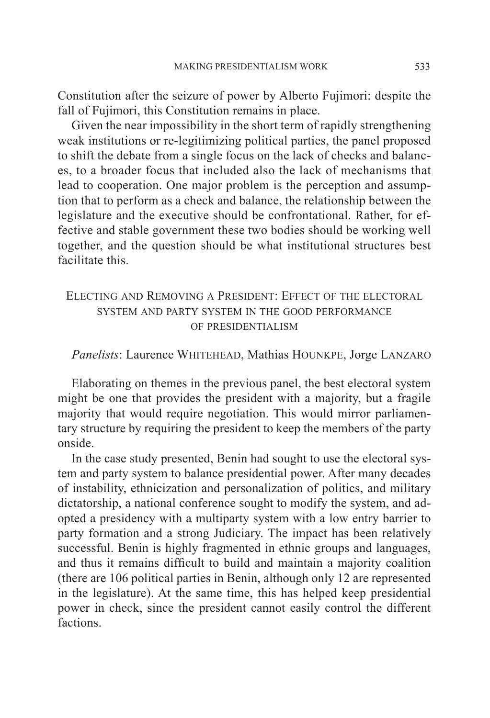Constitution after the seizure of power by Alberto Fujimori: despite the fall of Fujimori, this Constitution remains in place.

Given the near impossibility in the short term of rapidly strengthening weak institutions or re-legitimizing political parties, the panel proposed to shift the debate from a single focus on the lack of checks and balances, to a broader focus that included also the lack of mechanisms that lead to cooperation. One major problem is the perception and assumption that to perform as a check and balance, the relationship between the legislature and the executive should be confrontational. Rather, for effective and stable government these two bodies should be working well together, and the question should be what institutional structures best facilitate this.

# Electing and Removing a President: Effect of the electoral system and party system in the good performance of presidentialism

#### *Panelists*: Laurence WHITEHEAD, Mathias HOUNKPE, Jorge LANZARO

Elaborating on themes in the previous panel, the best electoral system might be one that provides the president with a majority, but a fragile majority that would require negotiation. This would mirror parliamentary structure by requiring the president to keep the members of the party onside.

In the case study presented, Benin had sought to use the electoral system and party system to balance presidential power. After many decades of instability, ethnicization and personalization of politics, and military dictatorship, a national conference sought to modify the system, and adopted a presidency with a multiparty system with a low entry barrier to party formation and a strong Judiciary. The impact has been relatively successful. Benin is highly fragmented in ethnic groups and languages, and thus it remains difficult to build and maintain a majority coalition (there are 106 political parties in Benin, although only 12 are represented in the legislature). At the same time, this has helped keep presidential power in check, since the president cannot easily control the different factions.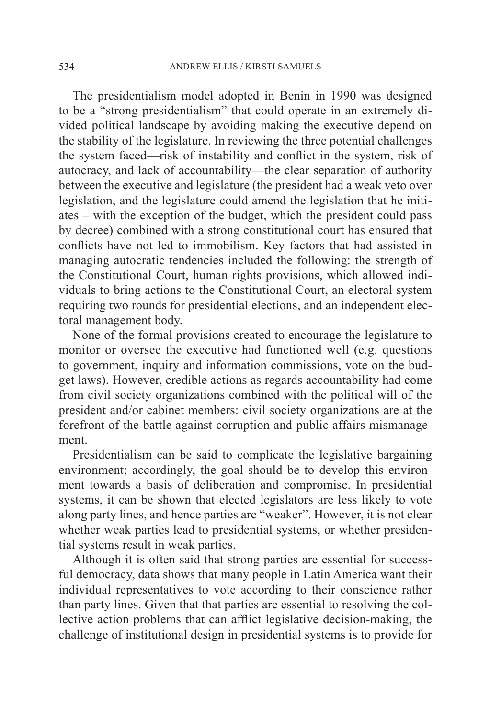The presidentialism model adopted in Benin in 1990 was designed to be a "strong presidentialism" that could operate in an extremely divided political landscape by avoiding making the executive depend on the stability of the legislature. In reviewing the three potential challenges the system faced—risk of instability and conflict in the system, risk of autocracy, and lack of accountability—the clear separation of authority between the executive and legislature (the president had a weak veto over legislation, and the legislature could amend the legislation that he initiates – with the exception of the budget, which the president could pass by decree) combined with a strong constitutional court has ensured that conflicts have not led to immobilism. Key factors that had assisted in managing autocratic tendencies included the following: the strength of the Constitutional Court, human rights provisions, which allowed individuals to bring actions to the Constitutional Court, an electoral system requiring two rounds for presidential elections, and an independent electoral management body.

None of the formal provisions created to encourage the legislature to monitor or oversee the executive had functioned well (e.g. questions to government, inquiry and information commissions, vote on the budget laws). However, credible actions as regards accountability had come from civil society organizations combined with the political will of the president and/or cabinet members: civil society organizations are at the forefront of the battle against corruption and public affairs mismanagement.

Presidentialism can be said to complicate the legislative bargaining environment; accordingly, the goal should be to develop this environment towards a basis of deliberation and compromise. In presidential systems, it can be shown that elected legislators are less likely to vote along party lines, and hence parties are "weaker". However, it is not clear whether weak parties lead to presidential systems, or whether presidential systems result in weak parties.

Although it is often said that strong parties are essential for successful democracy, data shows that many people in Latin America want their individual representatives to vote according to their conscience rather than party lines. Given that that parties are essential to resolving the collective action problems that can afflict legislative decision-making, the challenge of institutional design in presidential systems is to provide for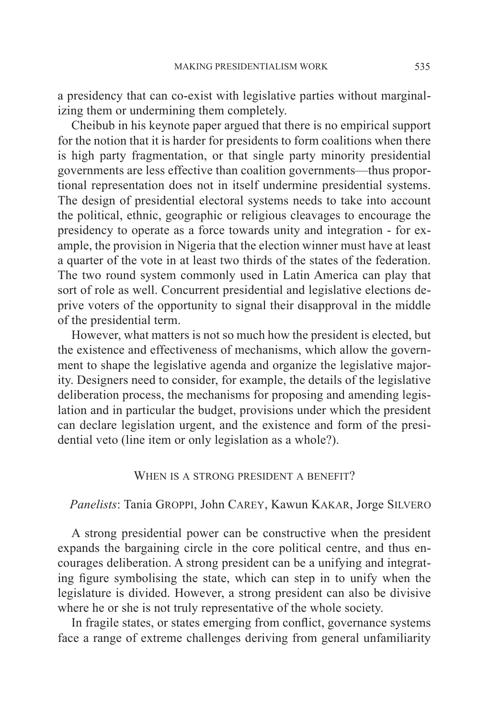a presidency that can co-exist with legislative parties without marginalizing them or undermining them completely.

Cheibub in his keynote paper argued that there is no empirical support for the notion that it is harder for presidents to form coalitions when there is high party fragmentation, or that single party minority presidential governments are less effective than coalition governments—thus proportional representation does not in itself undermine presidential systems. The design of presidential electoral systems needs to take into account the political, ethnic, geographic or religious cleavages to encourage the presidency to operate as a force towards unity and integration - for example, the provision in Nigeria that the election winner must have at least a quarter of the vote in at least two thirds of the states of the federation. The two round system commonly used in Latin America can play that sort of role as well. Concurrent presidential and legislative elections deprive voters of the opportunity to signal their disapproval in the middle of the presidential term.

However, what matters is not so much how the president is elected, but the existence and effectiveness of mechanisms, which allow the government to shape the legislative agenda and organize the legislative majority. Designers need to consider, for example, the details of the legislative deliberation process, the mechanisms for proposing and amending legislation and in particular the budget, provisions under which the president can declare legislation urgent, and the existence and form of the presidential veto (line item or only legislation as a whole?).

#### WHEN IS A STRONG PRESIDENT A BENEFIT?

# *Panelists*: Tania Groppi, John Carey, Kawun Kakar, Jorge Silvero

A strong presidential power can be constructive when the president expands the bargaining circle in the core political centre, and thus encourages deliberation. A strong president can be a unifying and integrating figure symbolising the state, which can step in to unify when the legislature is divided. However, a strong president can also be divisive where he or she is not truly representative of the whole society.

In fragile states, or states emerging from conflict, governance systems face a range of extreme challenges deriving from general unfamiliarity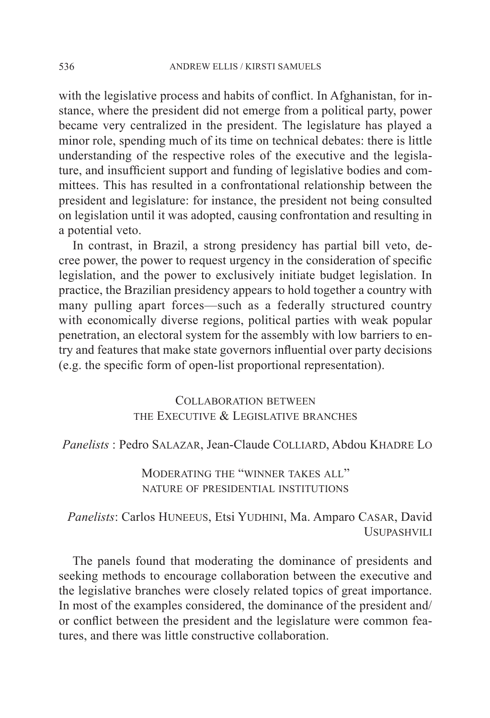with the legislative process and habits of conflict. In Afghanistan, for instance, where the president did not emerge from a political party, power became very centralized in the president. The legislature has played a minor role, spending much of its time on technical debates: there is little understanding of the respective roles of the executive and the legislature, and insufficient support and funding of legislative bodies and committees. This has resulted in a confrontational relationship between the president and legislature: for instance, the president not being consulted on legislation until it was adopted, causing confrontation and resulting in a potential veto.

In contrast, in Brazil, a strong presidency has partial bill veto, decree power, the power to request urgency in the consideration of specific legislation, and the power to exclusively initiate budget legislation. In practice, the Brazilian presidency appears to hold together a country with many pulling apart forces—such as a federally structured country with economically diverse regions, political parties with weak popular penetration, an electoral system for the assembly with low barriers to entry and features that make state governors influential over party decisions (e.g. the specific form of open-list proportional representation).

### Collaboration between the Executive & Legislative branches

*Panelists*: Pedro SALAZAR, Jean-Claude COLLIARD, Abdou KHADRE LO

Moderating the "winner takes all" nature of presidential institutions

### *Panelists*: Carlos HUNEEUS, Etsi YUDHINI, Ma. Amparo CASAR, David Usupashvili

The panels found that moderating the dominance of presidents and seeking methods to encourage collaboration between the executive and the legislative branches were closely related topics of great importance. In most of the examples considered, the dominance of the president and/ or conflict between the president and the legislature were common features, and there was little constructive collaboration.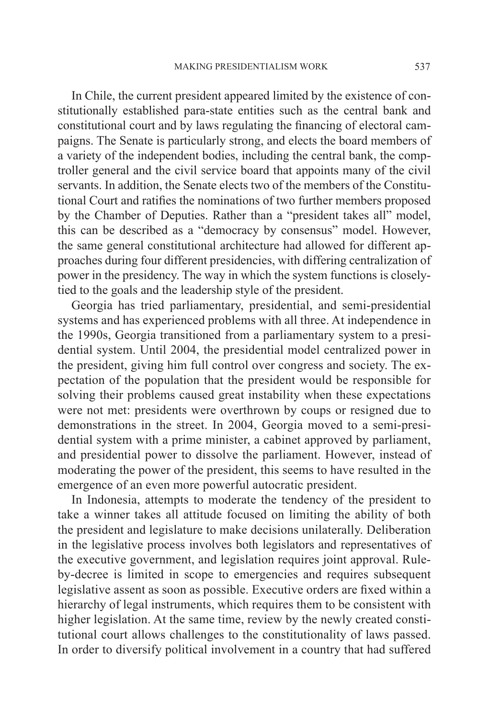In Chile, the current president appeared limited by the existence of constitutionally established para-state entities such as the central bank and constitutional court and by laws regulating the financing of electoral campaigns. The Senate is particularly strong, and elects the board members of a variety of the independent bodies, including the central bank, the comptroller general and the civil service board that appoints many of the civil servants. In addition, the Senate elects two of the members of the Constitutional Court and ratifies the nominations of two further members proposed by the Chamber of Deputies. Rather than a "president takes all" model, this can be described as a "democracy by consensus" model. However, the same general constitutional architecture had allowed for different approaches during four different presidencies, with differing centralization of power in the presidency. The way in which the system functions is closelytied to the goals and the leadership style of the president.

Georgia has tried parliamentary, presidential, and semi-presidential systems and has experienced problems with all three. At independence in the 1990s, Georgia transitioned from a parliamentary system to a presidential system. Until 2004, the presidential model centralized power in the president, giving him full control over congress and society. The expectation of the population that the president would be responsible for solving their problems caused great instability when these expectations were not met: presidents were overthrown by coups or resigned due to demonstrations in the street. In 2004, Georgia moved to a semi-presidential system with a prime minister, a cabinet approved by parliament, and presidential power to dissolve the parliament. However, instead of moderating the power of the president, this seems to have resulted in the emergence of an even more powerful autocratic president.

In Indonesia, attempts to moderate the tendency of the president to take a winner takes all attitude focused on limiting the ability of both the president and legislature to make decisions unilaterally. Deliberation in the legislative process involves both legislators and representatives of the executive government, and legislation requires joint approval. Ruleby-decree is limited in scope to emergencies and requires subsequent legislative assent as soon as possible. Executive orders are fixed within a hierarchy of legal instruments, which requires them to be consistent with higher legislation. At the same time, review by the newly created constitutional court allows challenges to the constitutionality of laws passed. In order to diversify political involvement in a country that had suffered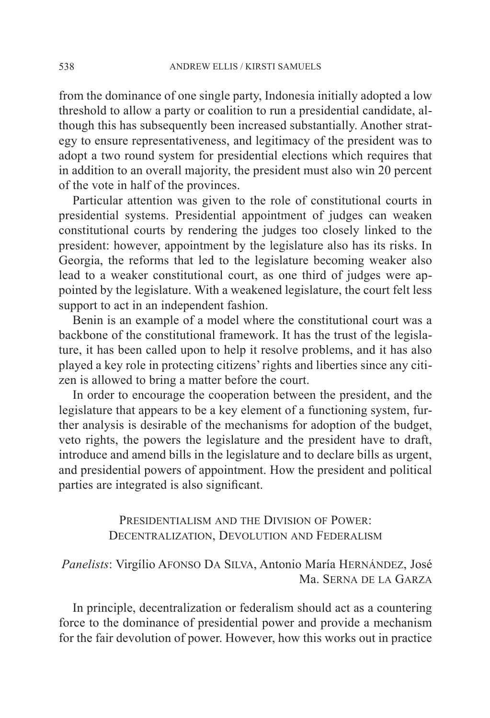from the dominance of one single party, Indonesia initially adopted a low threshold to allow a party or coalition to run a presidential candidate, although this has subsequently been increased substantially. Another strategy to ensure representativeness, and legitimacy of the president was to adopt a two round system for presidential elections which requires that in addition to an overall majority, the president must also win 20 percent of the vote in half of the provinces.

Particular attention was given to the role of constitutional courts in presidential systems. Presidential appointment of judges can weaken constitutional courts by rendering the judges too closely linked to the president: however, appointment by the legislature also has its risks. In Georgia, the reforms that led to the legislature becoming weaker also lead to a weaker constitutional court, as one third of judges were appointed by the legislature. With a weakened legislature, the court felt less support to act in an independent fashion.

Benin is an example of a model where the constitutional court was a backbone of the constitutional framework. It has the trust of the legislature, it has been called upon to help it resolve problems, and it has also played a key role in protecting citizens' rights and liberties since any citizen is allowed to bring a matter before the court.

In order to encourage the cooperation between the president, and the legislature that appears to be a key element of a functioning system, further analysis is desirable of the mechanisms for adoption of the budget, veto rights, the powers the legislature and the president have to draft, introduce and amend bills in the legislature and to declare bills as urgent, and presidential powers of appointment. How the president and political parties are integrated is also significant.

### Presidentialism and the Division of Power: Decentralization, Devolution and Federalism

# *Panelists*: Virgílio Afonso Da Silva, Antonio María Hernández, José Ma. Serna de la Garza

In principle, decentralization or federalism should act as a countering force to the dominance of presidential power and provide a mechanism for the fair devolution of power. However, how this works out in practice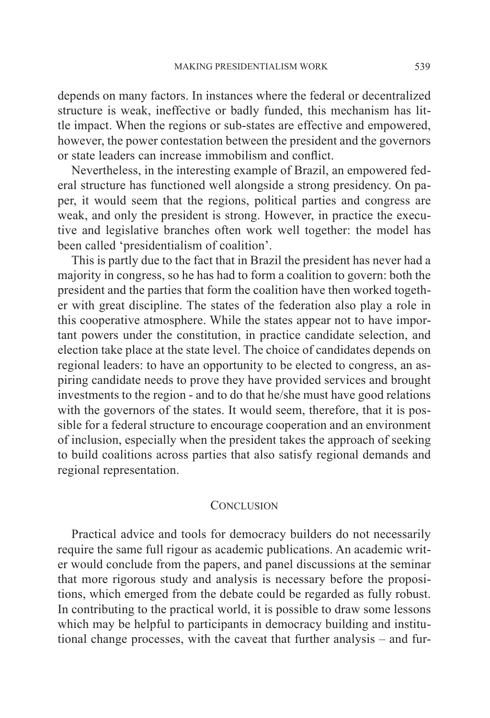depends on many factors. In instances where the federal or decentralized structure is weak, ineffective or badly funded, this mechanism has little impact. When the regions or sub-states are effective and empowered, however, the power contestation between the president and the governors or state leaders can increase immobilism and conflict.

Nevertheless, in the interesting example of Brazil, an empowered federal structure has functioned well alongside a strong presidency. On paper, it would seem that the regions, political parties and congress are weak, and only the president is strong. However, in practice the executive and legislative branches often work well together: the model has been called 'presidentialism of coalition'.

This is partly due to the fact that in Brazil the president has never had a majority in congress, so he has had to form a coalition to govern: both the president and the parties that form the coalition have then worked together with great discipline. The states of the federation also play a role in this cooperative atmosphere. While the states appear not to have important powers under the constitution, in practice candidate selection, and election take place at the state level. The choice of candidates depends on regional leaders: to have an opportunity to be elected to congress, an aspiring candidate needs to prove they have provided services and brought investments to the region - and to do that he/she must have good relations with the governors of the states. It would seem, therefore, that it is possible for a federal structure to encourage cooperation and an environment of inclusion, especially when the president takes the approach of seeking to build coalitions across parties that also satisfy regional demands and regional representation.

#### **CONCLUSION**

Practical advice and tools for democracy builders do not necessarily require the same full rigour as academic publications. An academic writer would conclude from the papers, and panel discussions at the seminar that more rigorous study and analysis is necessary before the propositions, which emerged from the debate could be regarded as fully robust. In contributing to the practical world, it is possible to draw some lessons which may be helpful to participants in democracy building and institutional change processes, with the caveat that further analysis – and fur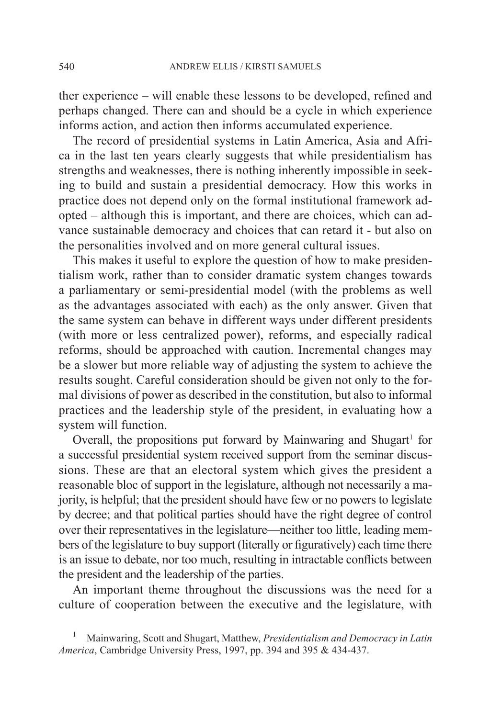ther experience – will enable these lessons to be developed, refined and perhaps changed. There can and should be a cycle in which experience informs action, and action then informs accumulated experience.

The record of presidential systems in Latin America, Asia and Africa in the last ten years clearly suggests that while presidentialism has strengths and weaknesses, there is nothing inherently impossible in seeking to build and sustain a presidential democracy. How this works in practice does not depend only on the formal institutional framework adopted – although this is important, and there are choices, which can advance sustainable democracy and choices that can retard it - but also on the personalities involved and on more general cultural issues.

This makes it useful to explore the question of how to make presidentialism work, rather than to consider dramatic system changes towards a parliamentary or semi-presidential model (with the problems as well as the advantages associated with each) as the only answer. Given that the same system can behave in different ways under different presidents (with more or less centralized power), reforms, and especially radical reforms, should be approached with caution. Incremental changes may be a slower but more reliable way of adjusting the system to achieve the results sought. Careful consideration should be given not only to the formal divisions of power as described in the constitution, but also to informal practices and the leadership style of the president, in evaluating how a system will function.

Overall, the propositions put forward by Mainwaring and Shugart<sup>1</sup> for a successful presidential system received support from the seminar discussions. These are that an electoral system which gives the president a reasonable bloc of support in the legislature, although not necessarily a majority, is helpful; that the president should have few or no powers to legislate by decree; and that political parties should have the right degree of control over their representatives in the legislature—neither too little, leading members of the legislature to buy support (literally or figuratively) each time there is an issue to debate, nor too much, resulting in intractable conflicts between the president and the leadership of the parties.

An important theme throughout the discussions was the need for a culture of cooperation between the executive and the legislature, with

<sup>1</sup> Mainwaring, Scott and Shugart, Matthew, *Presidentialism and Democracy in Latin America*, Cambridge University Press, 1997, pp. 394 and 395 & 434-437.